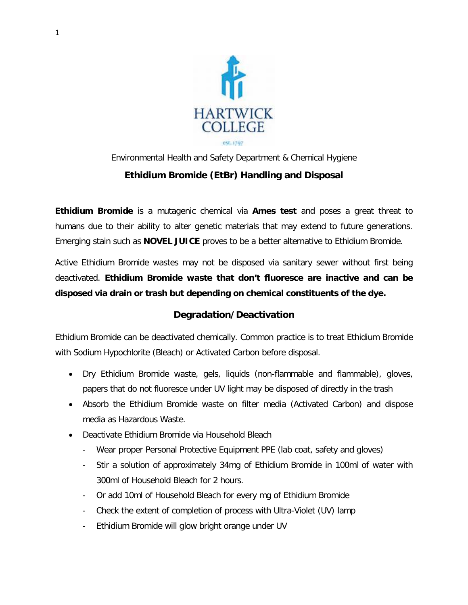

## Environmental Health and Safety Department & Chemical Hygiene **Ethidium Bromide (EtBr) Handling and Disposal**

**Ethidium Bromide** is a mutagenic chemical via **Ames test** and poses a great threat to humans due to their ability to alter genetic materials that may extend to future generations. Emerging stain such as **NOVEL JUICE** proves to be a better alternative to Ethidium Bromide.

Active Ethidium Bromide wastes may not be disposed via sanitary sewer without first being deactivated. **Ethidium Bromide waste that don't fluoresce are inactive and can be disposed via drain or trash but depending on chemical constituents of the dye.**

## **Degradation/Deactivation**

Ethidium Bromide can be deactivated chemically. Common practice is to treat Ethidium Bromide with Sodium Hypochlorite (Bleach) or Activated Carbon before disposal.

- Dry Ethidium Bromide waste, gels, liquids (non-flammable and flammable), gloves, papers that do not fluoresce under UV light may be disposed of directly in the trash
- Absorb the Ethidium Bromide waste on filter media (Activated Carbon) and dispose media as Hazardous Waste.
- Deactivate Ethidium Bromide via Household Bleach
	- Wear proper Personal Protective Equipment PPE (lab coat, safety and gloves)
	- Stir a solution of approximately 34mg of Ethidium Bromide in 100ml of water with 300ml of Household Bleach for 2 hours.
	- Or add 10ml of Household Bleach for every mg of Ethidium Bromide
	- Check the extent of completion of process with Ultra-Violet (UV) lamp
	- Ethidium Bromide will glow bright orange under UV